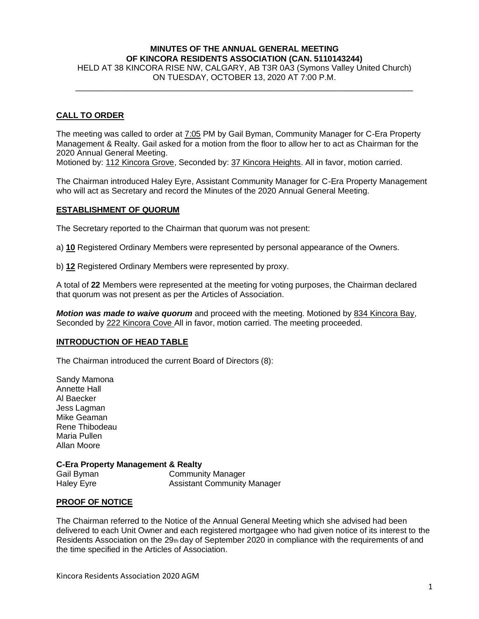# **MINUTES OF THE ANNUAL GENERAL MEETING OF KINCORA RESIDENTS ASSOCIATION (CAN. 5110143244)**

HELD AT 38 KINCORA RISE NW, CALGARY, AB T3R 0A3 (Symons Valley United Church) ON TUESDAY, OCTOBER 13, 2020 AT 7:00 P.M.  $\_$  ,  $\_$  ,  $\_$  ,  $\_$  ,  $\_$  ,  $\_$  ,  $\_$  ,  $\_$  ,  $\_$  ,  $\_$  ,  $\_$  ,  $\_$  ,  $\_$  ,  $\_$  ,  $\_$  ,  $\_$  ,  $\_$  ,  $\_$  ,  $\_$ 

## **CALL TO ORDER**

The meeting was called to order at 7:05 PM by Gail Byman, Community Manager for C-Era Property Management & Realty. Gail asked for a motion from the floor to allow her to act as Chairman for the 2020 Annual General Meeting.

Motioned by: 112 Kincora Grove, Seconded by: 37 Kincora Heights. All in favor, motion carried.

The Chairman introduced Haley Eyre, Assistant Community Manager for C-Era Property Management who will act as Secretary and record the Minutes of the 2020 Annual General Meeting.

#### **ESTABLISHMENT OF QUORUM**

The Secretary reported to the Chairman that quorum was not present:

a) **10** Registered Ordinary Members were represented by personal appearance of the Owners.

b) **12** Registered Ordinary Members were represented by proxy.

A total of **22** Members were represented at the meeting for voting purposes, the Chairman declared that quorum was not present as per the Articles of Association.

*Motion was made to waive quorum* and proceed with the meeting. Motioned by 834 Kincora Bay, Seconded by 222 Kincora Cove All in favor, motion carried. The meeting proceeded.

#### **INTRODUCTION OF HEAD TABLE**

The Chairman introduced the current Board of Directors (8):

Sandy Mamona Annette Hall Al Baecker Jess Lagman Mike Geaman Rene Thibodeau Maria Pullen Allan Moore

### **C-Era Property Management & Realty**

Gail Byman Community Manager Haley Eyre **Assistant Community Manager** 

### **PROOF OF NOTICE**

The Chairman referred to the Notice of the Annual General Meeting which she advised had been delivered to each Unit Owner and each registered mortgagee who had given notice of its interest to the Residents Association on the  $29<sub>th</sub>$  day of September 2020 in compliance with the requirements of and the time specified in the Articles of Association.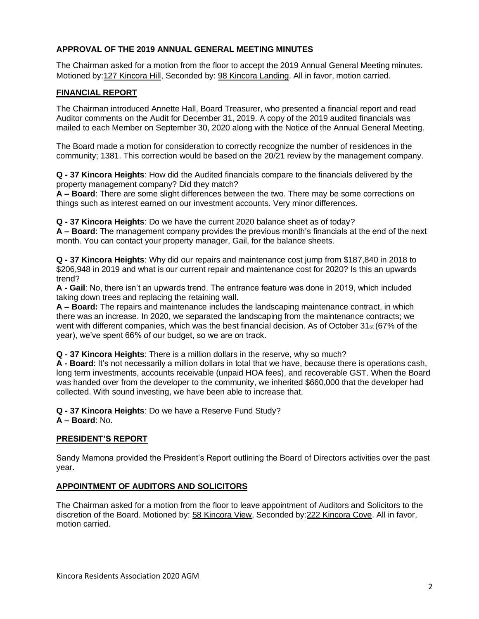## **APPROVAL OF THE 2019 ANNUAL GENERAL MEETING MINUTES**

The Chairman asked for a motion from the floor to accept the 2019 Annual General Meeting minutes. Motioned by:127 Kincora Hill, Seconded by: 98 Kincora Landing. All in favor, motion carried.

### **FINANCIAL REPORT**

The Chairman introduced Annette Hall, Board Treasurer, who presented a financial report and read Auditor comments on the Audit for December 31, 2019. A copy of the 2019 audited financials was mailed to each Member on September 30, 2020 along with the Notice of the Annual General Meeting.

The Board made a motion for consideration to correctly recognize the number of residences in the community; 1381. This correction would be based on the 20/21 review by the management company.

**Q - 37 Kincora Heights**: How did the Audited financials compare to the financials delivered by the property management company? Did they match?

**A – Board**: There are some slight differences between the two. There may be some corrections on things such as interest earned on our investment accounts. Very minor differences.

**Q - 37 Kincora Heights**: Do we have the current 2020 balance sheet as of today?

**A – Board**: The management company provides the previous month's financials at the end of the next month. You can contact your property manager, Gail, for the balance sheets.

**Q - 37 Kincora Heights**: Why did our repairs and maintenance cost jump from \$187,840 in 2018 to \$206,948 in 2019 and what is our current repair and maintenance cost for 2020? Is this an upwards trend?

**A - Gail**: No, there isn't an upwards trend. The entrance feature was done in 2019, which included taking down trees and replacing the retaining wall.

**A – Board:** The repairs and maintenance includes the landscaping maintenance contract, in which there was an increase. In 2020, we separated the landscaping from the maintenance contracts; we went with different companies, which was the best financial decision. As of October 31<sub>st</sub> (67% of the year), we've spent 66% of our budget, so we are on track.

**Q - 37 Kincora Heights**: There is a million dollars in the reserve, why so much?

**A - Board**: It's not necessarily a million dollars in total that we have, because there is operations cash, long term investments, accounts receivable (unpaid HOA fees), and recoverable GST. When the Board was handed over from the developer to the community, we inherited \$660,000 that the developer had collected. With sound investing, we have been able to increase that.

**Q - 37 Kincora Heights**: Do we have a Reserve Fund Study? **A – Board**: No.

### **PRESIDENT'S REPORT**

Sandy Mamona provided the President's Report outlining the Board of Directors activities over the past year.

### **APPOINTMENT OF AUDITORS AND SOLICITORS**

The Chairman asked for a motion from the floor to leave appointment of Auditors and Solicitors to the discretion of the Board. Motioned by: 58 Kincora View, Seconded by:222 Kincora Cove. All in favor, motion carried.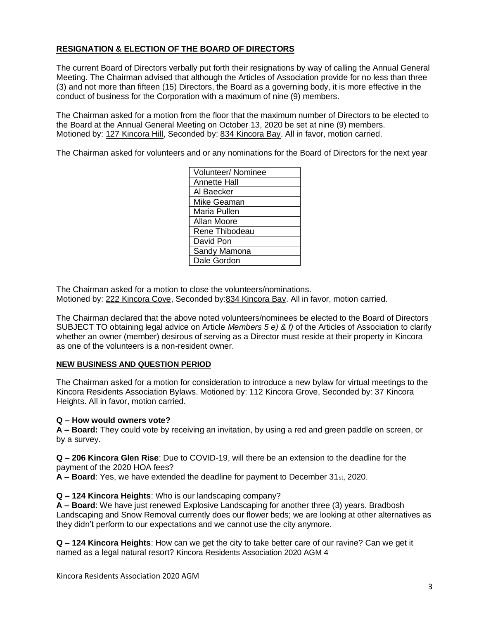# **RESIGNATION & ELECTION OF THE BOARD OF DIRECTORS**

The current Board of Directors verbally put forth their resignations by way of calling the Annual General Meeting. The Chairman advised that although the Articles of Association provide for no less than three (3) and not more than fifteen (15) Directors, the Board as a governing body, it is more effective in the conduct of business for the Corporation with a maximum of nine (9) members.

The Chairman asked for a motion from the floor that the maximum number of Directors to be elected to the Board at the Annual General Meeting on October 13, 2020 be set at nine (9) members. Motioned by: 127 Kincora Hill, Seconded by: 834 Kincora Bay. All in favor, motion carried.

The Chairman asked for volunteers and or any nominations for the Board of Directors for the next year

| <b>Volunteer/ Nominee</b> |
|---------------------------|
| <b>Annette Hall</b>       |
| Al Baecker                |
| Mike Geaman               |
| Maria Pullen              |
| Allan Moore               |
| Rene Thibodeau            |
| David Pon                 |
| Sandy Mamona              |
| Dale Gordon               |

The Chairman asked for a motion to close the volunteers/nominations. Motioned by: 222 Kincora Cove, Seconded by:834 Kincora Bay. All in favor, motion carried.

The Chairman declared that the above noted volunteers/nominees be elected to the Board of Directors SUBJECT TO obtaining legal advice on Article *Members 5 e) & f)* of the Articles of Association to clarify whether an owner (member) desirous of serving as a Director must reside at their property in Kincora as one of the volunteers is a non-resident owner.

### **NEW BUSINESS AND QUESTION PERIOD**

The Chairman asked for a motion for consideration to introduce a new bylaw for virtual meetings to the Kincora Residents Association Bylaws. Motioned by: 112 Kincora Grove, Seconded by: 37 Kincora Heights. All in favor, motion carried.

### **Q – How would owners vote?**

**A – Board:** They could vote by receiving an invitation, by using a red and green paddle on screen, or by a survey.

**Q – 206 Kincora Glen Rise**: Due to COVID-19, will there be an extension to the deadline for the payment of the 2020 HOA fees?

**A – Board**: Yes, we have extended the deadline for payment to December 31st, 2020.

#### **Q – 124 Kincora Heights**: Who is our landscaping company?

**A – Board**: We have just renewed Explosive Landscaping for another three (3) years. Bradbosh Landscaping and Snow Removal currently does our flower beds; we are looking at other alternatives as they didn't perform to our expectations and we cannot use the city anymore.

**Q – 124 Kincora Heights**: How can we get the city to take better care of our ravine? Can we get it named as a legal natural resort? Kincora Residents Association 2020 AGM 4